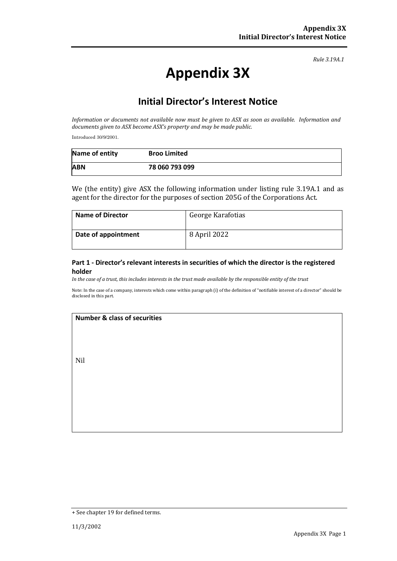*Rule 3.19A.1*

# **Appendix 3X**

# **Initial Director's Interest Notice**

*Information or documents not available now must be given to ASX as soon as available. Information and documents given to ASX become ASX's property and may be made public.*

Introduced 30/9/2001.

| Name of entity | <b>Broo Limited</b> |  |
|----------------|---------------------|--|
| <b>ABN</b>     | 78 060 793 099      |  |

We (the entity) give ASX the following information under listing rule 3.19A.1 and as agent for the director for the purposes of section 205G of the Corporations Act.

| <b>Name of Director</b> | George Karafotias |
|-------------------------|-------------------|
| Date of appointment     | 8 April 2022      |

### **Part 1 - Director's relevant interests in securities of which the director is the registered holder**

*In the case of a trust, this includes interests in the trust made available by the responsible entity of the trust*

Note: In the case of a company, interests which come within paragraph (i) of the definition of "notifiable interest of a director" should be disclosed in this part.

### **Number & class of securities**

Nil

<sup>+</sup> See chapter 19 for defined terms.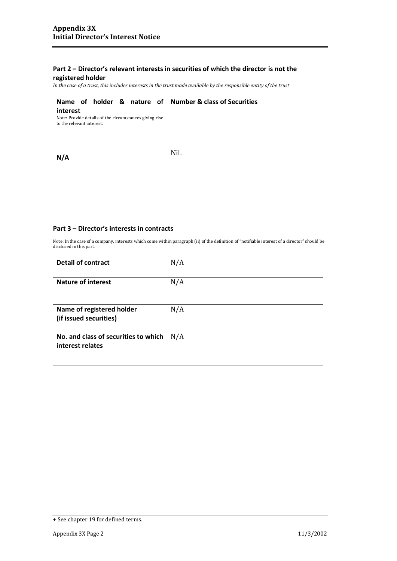### **Part 2 – Director's relevant interests in securities of which the director is not the**

### **registered holder**

*In the case of a trust, this includes interests in the trust made available by the responsible entity of the trust*

| Name of holder & nature of                                                                      | <b>Number &amp; class of Securities</b> |
|-------------------------------------------------------------------------------------------------|-----------------------------------------|
| interest<br>Note: Provide details of the circumstances giving rise<br>to the relevant interest. |                                         |
| N/A                                                                                             | Nil.                                    |
|                                                                                                 |                                         |

### **Part 3 – Director's interests in contracts**

Note: In the case of a company, interests which come within paragraph (ii) of the definition of "notifiable interest of a director" should be disclosed in this part.

| <b>Detail of contract</b>                                | N/A |
|----------------------------------------------------------|-----|
| <b>Nature of interest</b>                                | N/A |
| Name of registered holder<br>(if issued securities)      | N/A |
| No. and class of securities to which<br>interest relates | N/A |

<sup>+</sup> See chapter 19 for defined terms.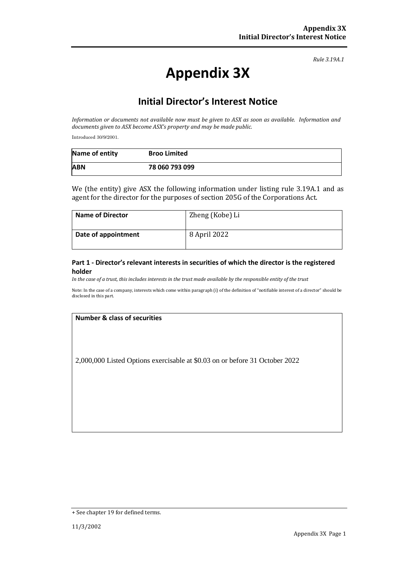*Rule 3.19A.1*

# **Appendix 3X**

# **Initial Director's Interest Notice**

*Information or documents not available now must be given to ASX as soon as available. Information and documents given to ASX become ASX's property and may be made public.*

Introduced 30/9/2001.

| Name of entity | <b>Broo Limited</b> |  |
|----------------|---------------------|--|
| <b>ABN</b>     | 78 060 793 099      |  |

We (the entity) give ASX the following information under listing rule 3.19A.1 and as agent for the director for the purposes of section 205G of the Corporations Act.

| <b>Name of Director</b> | Zheng (Kobe) Li |
|-------------------------|-----------------|
| Date of appointment     | 8 April 2022    |

#### **Part 1 - Director's relevant interests in securities of which the director is the registered holder**

*In the case of a trust, this includes interests in the trust made available by the responsible entity of the trust*

Note: In the case of a company, interests which come within paragraph (i) of the definition of "notifiable interest of a director" should be disclosed in this part.

### **Number & class of securities**

2,000,000 Listed Options exercisable at \$0.03 on or before 31 October 2022

<sup>+</sup> See chapter 19 for defined terms.